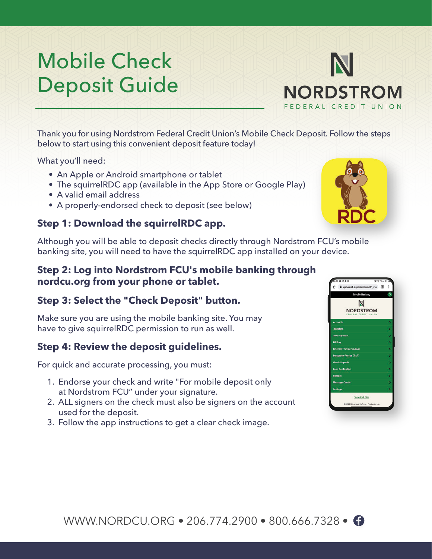# Mobile Check Deposit Guide

Thank you for using Nordstrom Federal Credit Union's Mobile Check Deposit. Follow the steps below to start using this convenient deposit feature today!

What you'll need:

- An Apple or Android smartphone or tablet
- The squirrelRDC app (available in the App Store or Google Play)
- A valid email address
- A properly-endorsed check to deposit (see below)

### **Step 1: Download the squirrelRDC app.**

Although you will be able to deposit checks directly through Nordstrom FCU's mobile banking site, you will need to have the squirrelRDC app installed on your device.

## **Step 2: Log into Nordstrom FCU's mobile banking through nordcu.org from your phone or tablet.**

# **Step 3: Select the "Check Deposit" button.**

Make sure you are using the mobile banking site. You may have to give squirrelRDC permission to run as well.

#### **Step 4: Review the deposit guidelines.**

For quick and accurate processing, you must:

- 1. Endorse your check and write "For mobile deposit only at Nordstrom FCU" under your signature.
- 2. ALL signers on the check must also be signers on the account used for the deposit.
- 3. Follow the app instructions to get a clear check image.